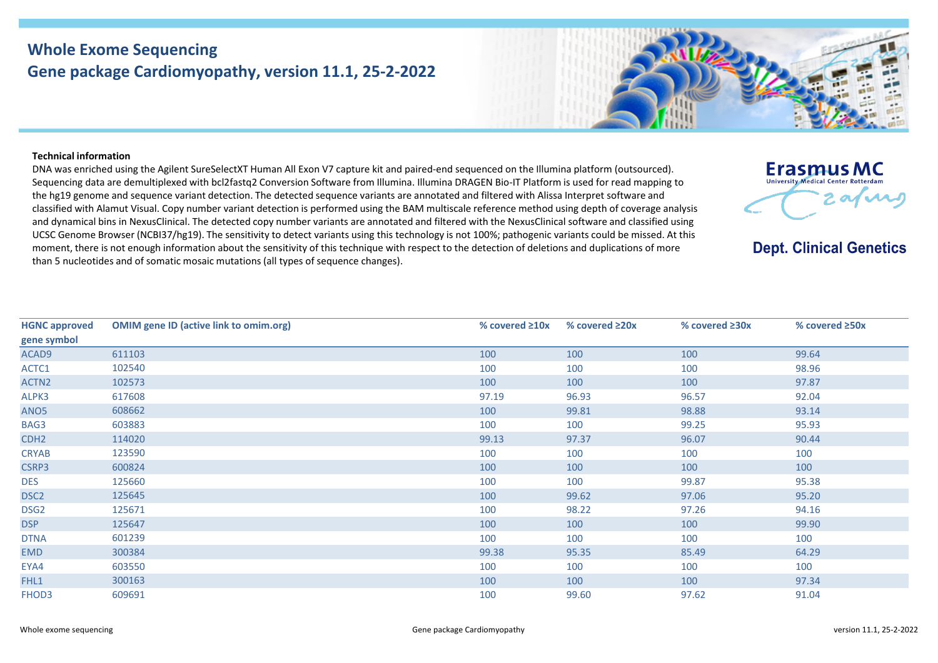## **Whole Exome Sequencing Gene package Cardiomyopathy, version 11.1, 25-2-2022**



**Erasmus MC University Medical Center Rotterdam** 

**Dept. Clinical Genetics** 

2 avenue

## **Technical information**

DNA was enriched using the Agilent SureSelectXT Human All Exon V7 capture kit and paired-end sequenced on the Illumina platform (outsourced). Sequencing data are demultiplexed with bcl2fastq2 Conversion Software from Illumina. Illumina DRAGEN Bio-IT Platform is used for read mapping to the hg19 genome and sequence variant detection. The detected sequence variants are annotated and filtered with Alissa Interpret software and classified with Alamut Visual. Copy number variant detection is performed using the BAM multiscale reference method using depth of coverage analysis and dynamical bins in NexusClinical. The detected copy number variants are annotated and filtered with the NexusClinical software and classified using UCSC Genome Browser (NCBI37/hg19). The sensitivity to detect variants using this technology is not 100%; pathogenic variants could be missed. At this moment, there is not enough information about the sensitivity of this technique with respect to the detection of deletions and duplications of more than 5 nucleotides and of somatic mosaic mutations (all types of sequence changes).

| <b>HGNC approved</b> | <b>OMIM gene ID (active link to omim.org)</b> | % covered $\geq 10x$ | % covered ≥20x | % covered $\geq 30x$ | % covered $\geq$ 50x |
|----------------------|-----------------------------------------------|----------------------|----------------|----------------------|----------------------|
| gene symbol          |                                               |                      |                |                      |                      |
| ACAD9                | 611103                                        | 100                  | 100            | 100                  | 99.64                |
| ACTC1                | 102540                                        | 100                  | 100            | 100                  | 98.96                |
| ACTN <sub>2</sub>    | 102573                                        | 100                  | 100            | 100                  | 97.87                |
| ALPK3                | 617608                                        | 97.19                | 96.93          | 96.57                | 92.04                |
| ANO <sub>5</sub>     | 608662                                        | 100                  | 99.81          | 98.88                | 93.14                |
| BAG3                 | 603883                                        | 100                  | 100            | 99.25                | 95.93                |
| CDH <sub>2</sub>     | 114020                                        | 99.13                | 97.37          | 96.07                | 90.44                |
| <b>CRYAB</b>         | 123590                                        | 100                  | 100            | 100                  | 100                  |
| CSRP3                | 600824                                        | 100                  | 100            | 100                  | 100                  |
| <b>DES</b>           | 125660                                        | 100                  | 100            | 99.87                | 95.38                |
| DSC <sub>2</sub>     | 125645                                        | 100                  | 99.62          | 97.06                | 95.20                |
| DSG <sub>2</sub>     | 125671                                        | 100                  | 98.22          | 97.26                | 94.16                |
| <b>DSP</b>           | 125647                                        | 100                  | 100            | 100                  | 99.90                |
| <b>DTNA</b>          | 601239                                        | 100                  | 100            | 100                  | 100                  |
| <b>EMD</b>           | 300384                                        | 99.38                | 95.35          | 85.49                | 64.29                |
| EYA4                 | 603550                                        | 100                  | 100            | 100                  | 100                  |
| FHL1                 | 300163                                        | 100                  | 100            | 100                  | 97.34                |
| FHOD3                | 609691                                        | 100                  | 99.60          | 97.62                | 91.04                |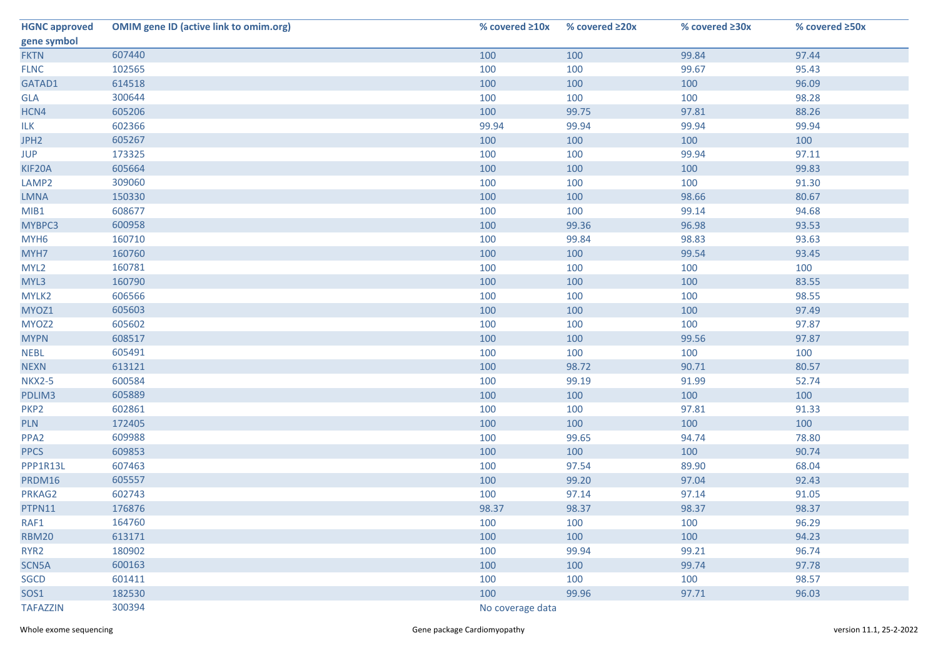| <b>HGNC approved</b> | <b>OMIM gene ID (active link to omim.org)</b> | % covered $\geq 10x$ | % covered ≥20x | % covered $\geq 30x$ | % covered ≥50x |  |
|----------------------|-----------------------------------------------|----------------------|----------------|----------------------|----------------|--|
| gene symbol          |                                               |                      |                |                      |                |  |
| <b>FKTN</b>          | 607440                                        | 100                  | 100            | 99.84                | 97.44          |  |
| <b>FLNC</b>          | 102565                                        | 100                  | 100            | 99.67                | 95.43          |  |
| GATAD1               | 614518                                        | 100                  | 100            | 100                  | 96.09          |  |
| <b>GLA</b>           | 300644                                        | 100                  | 100            | 100                  | 98.28          |  |
| HCN4                 | 605206                                        | 100                  | 99.75          | 97.81                | 88.26          |  |
| <b>ILK</b>           | 602366                                        | 99.94                | 99.94          | 99.94                | 99.94          |  |
| JPH <sub>2</sub>     | 605267                                        | 100                  | 100            | 100                  | 100            |  |
| <b>JUP</b>           | 173325                                        | 100                  | 100            | 99.94                | 97.11          |  |
| KIF20A               | 605664                                        | 100                  | 100            | 100                  | 99.83          |  |
| LAMP2                | 309060                                        | 100                  | 100            | 100                  | 91.30          |  |
| <b>LMNA</b>          | 150330                                        | 100                  | 100            | 98.66                | 80.67          |  |
| MIB1                 | 608677                                        | 100                  | 100            | 99.14                | 94.68          |  |
| MYBPC3               | 600958                                        | 100                  | 99.36          | 96.98                | 93.53          |  |
| MYH <sub>6</sub>     | 160710                                        | 100                  | 99.84          | 98.83                | 93.63          |  |
| MYH7                 | 160760                                        | 100                  | 100            | 99.54                | 93.45          |  |
| MYL <sub>2</sub>     | 160781                                        | 100                  | 100            | 100                  | 100            |  |
| MYL3                 | 160790                                        | 100                  | 100            | 100                  | 83.55          |  |
| MYLK2                | 606566                                        | 100                  | 100            | 100                  | 98.55          |  |
| MYOZ1                | 605603                                        | 100                  | 100            | 100                  | 97.49          |  |
| MYOZ2                | 605602                                        | 100                  | 100            | 100                  | 97.87          |  |
| <b>MYPN</b>          | 608517                                        | 100                  | 100            | 99.56                | 97.87          |  |
| <b>NEBL</b>          | 605491                                        | 100                  | 100            | 100                  | 100            |  |
| <b>NEXN</b>          | 613121                                        | 100                  | 98.72          | 90.71                | 80.57          |  |
| <b>NKX2-5</b>        | 600584                                        | 100                  | 99.19          | 91.99                | 52.74          |  |
| PDLIM3               | 605889                                        | 100                  | 100            | 100                  | 100            |  |
| PKP <sub>2</sub>     | 602861                                        | 100                  | 100            | 97.81                | 91.33          |  |
| <b>PLN</b>           | 172405                                        | 100                  | 100            | 100                  | 100            |  |
| PPA <sub>2</sub>     | 609988                                        | 100                  | 99.65          | 94.74                | 78.80          |  |
| <b>PPCS</b>          | 609853                                        | 100                  | 100            | 100                  | 90.74          |  |
| PPP1R13L             | 607463                                        | 100                  | 97.54          | 89.90                | 68.04          |  |
| PRDM16               | 605557                                        | 100                  | 99.20          | 97.04                | 92.43          |  |
| PRKAG2               | 602743                                        | 100                  | 97.14          | 97.14                | 91.05          |  |
| PTPN11               | 176876                                        | 98.37                | 98.37          | 98.37                | 98.37          |  |
| RAF1                 | 164760                                        | 100                  | 100            | 100                  | 96.29          |  |
| <b>RBM20</b>         | 613171                                        | 100                  | 100            | 100                  | 94.23          |  |
| RYR <sub>2</sub>     | 180902                                        | 100                  | 99.94          | 99.21                | 96.74          |  |
| SCN5A                | 600163                                        | 100                  | 100            | 99.74                | 97.78          |  |
| SGCD                 | 601411                                        | 100                  | 100            | 100                  | 98.57          |  |
| <b>SOS1</b>          | 182530                                        | 100                  | 99.96          | 97.71                | 96.03          |  |
| <b>TAFAZZIN</b>      | 300394                                        | No coverage data     |                |                      |                |  |